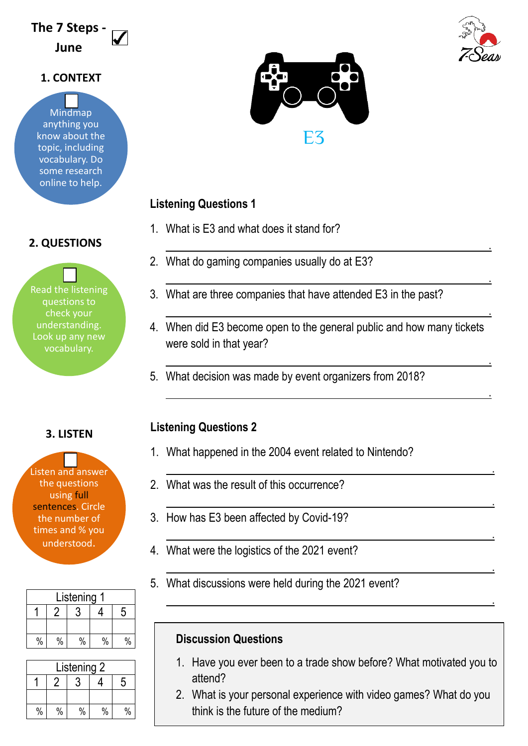# **The 7 Steps - June**

## **1. CONTEXT**

Mindmap anything you know about the topic, including vocabulary. Do some research online to help.

# **2. QUESTIONS**

Read the listening questions to check your understanding. Look up any new vocabulary.

**3. LISTEN**

Listen and answer the questions using full sentences. Circle the number of times and % you understood.

| Listening |      |      |               |   |  |
|-----------|------|------|---------------|---|--|
|           |      |      |               | 5 |  |
|           |      |      |               |   |  |
| $\%$      | $\%$ | $\%$ | $\frac{0}{0}$ |   |  |

| Listening 2 |      |      |      |   |
|-------------|------|------|------|---|
|             |      |      |      | 5 |
|             |      |      |      |   |
| $\%$        | $\%$ | $\%$ | $\%$ |   |



# **Listening Questions 1**

- 1. What is E3 and what does it stand for?
- 2. What do gaming companies usually do at E3?
- 3. What are three companies that have attended E3 in the past?
- 4. When did E3 become open to the general public and how many tickets were sold in that year?

<u>. Andre van die stad van die stad van die stad van die stad van die stad van die stad van die stad van die sta</u>

<u>. Andreas and the second control of the second control of the second control of the second control of</u>

<u>. Andre van die stad van die stad van die stad van die stad van die stad van die stad van die stad van die sta</u>

<u>. Andre van die stad van die stad van die stad van die stad van die stad van die stad van die stad van die sta</u>

<u>. Andreas and the second control of the second control of the second control of the second control of</u>

<u>. Andreas Andreas Andreas Andreas Andreas Andreas Andreas Andreas Andreas Andreas Andreas Andreas Andreas And</u>

<u>. Andre van die verschieden van die verschieden van die verschieden van die verschieden van die verschieden v</u>

<u>. Andreas Andreas Andreas Andreas Andreas Andreas Andreas Andreas Andreas Andreas Andreas Andreas Andreas And</u>

<u>. Andre de la componentación de la componentación de la componentación de la componentación de la componentaci</u>

<u>. Andre van die verschieden van die verschieden van die verschieden van die verschieden van die verschieden v</u>

5. What decision was made by event organizers from 2018?

# **Listening Questions 2**

- 1. What happened in the 2004 event related to Nintendo?
- 2. What was the result of this occurrence?
- 3. How has E3 been affected by Covid-19?
- 4. What were the logistics of the 2021 event?
- 5. What discussions were held during the 2021 event?

# **Discussion Questions**

- 1. Have you ever been to a trade show before? What motivated you to attend?
- 2. What is your personal experience with video games? What do you think is the future of the medium?